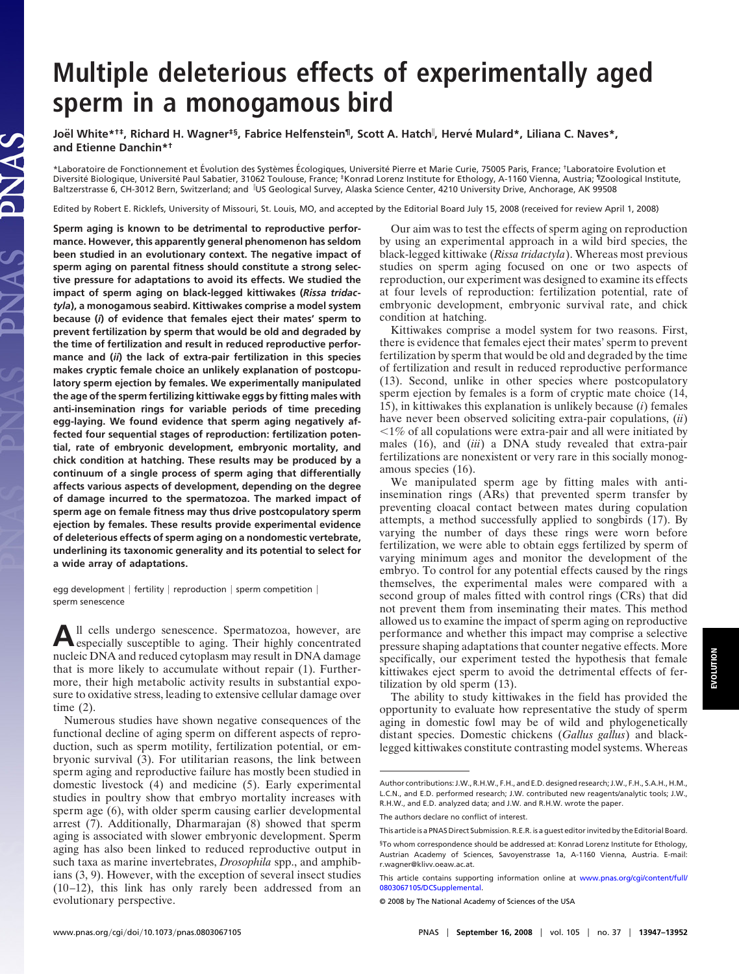# **Multiple deleterious effects of experimentally aged sperm in a monogamous bird**

**Joe¨l White\*†‡, Richard H. Wagner‡§, Fabrice Helfenstein¶, Scott A. Hatch , Herve´ Mulard\*, Liliana C. Naves\*, and Etienne Danchin\*†**

\*Laboratoire de Fonctionnement et Évolution des Systèmes Écologiques, Université Pierre et Marie Curie, 75005 Paris, France; <sup>†</sup>Laboratoire Evolution et Diversité Biologique, Université Paul Sabatier, 31062 Toulouse, France; ‡Konrad Lorenz Institute for Ethology, A-1160 Vienna, Austria; ¶Zoological Institute, Baltzerstrasse 6, CH-3012 Bern, Switzerland; and US Geological Survey, Alaska Science Center, 4210 University Drive, Anchorage, AK 99508

Edited by Robert E. Ricklefs, University of Missouri, St. Louis, MO, and accepted by the Editorial Board July 15, 2008 (received for review April 1, 2008)

**Sperm aging is known to be detrimental to reproductive performance. However, this apparently general phenomenon has seldom been studied in an evolutionary context. The negative impact of sperm aging on parental fitness should constitute a strong selective pressure for adaptations to avoid its effects. We studied the impact of sperm aging on black-legged kittiwakes (***Rissa tridactyla***), a monogamous seabird. Kittiwakes comprise a model system because (***i***) of evidence that females eject their mates' sperm to prevent fertilization by sperm that would be old and degraded by the time of fertilization and result in reduced reproductive performance and (***ii***) the lack of extra-pair fertilization in this species makes cryptic female choice an unlikely explanation of postcopulatory sperm ejection by females. We experimentally manipulated the age of the sperm fertilizing kittiwake eggs by fitting males with anti-insemination rings for variable periods of time preceding egg-laying. We found evidence that sperm aging negatively affected four sequential stages of reproduction: fertilization potential, rate of embryonic development, embryonic mortality, and chick condition at hatching. These results may be produced by a continuum of a single process of sperm aging that differentially affects various aspects of development, depending on the degree of damage incurred to the spermatozoa. The marked impact of sperm age on female fitness may thus drive postcopulatory sperm ejection by females. These results provide experimental evidence of deleterious effects of sperm aging on a nondomestic vertebrate, underlining its taxonomic generality and its potential to select for a wide array of adaptations.**

egg development  $\vert$  fertility  $\vert$  reproduction  $\vert$  sperm competition  $\vert$ sperm senescence

**A**ll cells undergo senescence. Spermatozoa, however, are especially susceptible to aging. Their highly concentrated nucleic DNA and reduced cytoplasm may result in DNA damage that is more likely to accumulate without repair (1). Furthermore, their high metabolic activity results in substantial exposure to oxidative stress, leading to extensive cellular damage over time (2).

Numerous studies have shown negative consequences of the functional decline of aging sperm on different aspects of reproduction, such as sperm motility, fertilization potential, or embryonic survival (3). For utilitarian reasons, the link between sperm aging and reproductive failure has mostly been studied in domestic livestock (4) and medicine (5). Early experimental studies in poultry show that embryo mortality increases with sperm age (6), with older sperm causing earlier developmental arrest (7). Additionally, Dharmarajan (8) showed that sperm aging is associated with slower embryonic development. Sperm aging has also been linked to reduced reproductive output in such taxa as marine invertebrates, *Drosophila* spp., and amphibians (3, 9). However, with the exception of several insect studies (10–12), this link has only rarely been addressed from an evolutionary perspective.

Our aim was to test the effects of sperm aging on reproduction by using an experimental approach in a wild bird species, the black-legged kittiwake (*Rissa tridactyla*). Whereas most previous studies on sperm aging focused on one or two aspects of reproduction, our experiment was designed to examine its effects at four levels of reproduction: fertilization potential, rate of embryonic development, embryonic survival rate, and chick condition at hatching.

Kittiwakes comprise a model system for two reasons. First, there is evidence that females eject their mates' sperm to prevent fertilization by sperm that would be old and degraded by the time of fertilization and result in reduced reproductive performance (13). Second, unlike in other species where postcopulatory sperm ejection by females is a form of cryptic mate choice (14, 15), in kittiwakes this explanation is unlikely because (*i*) females have never been observed soliciting extra-pair copulations, (*ii*)  $1\%$  of all copulations were extra-pair and all were initiated by males (16), and (*iii*) a DNA study revealed that extra-pair fertilizations are nonexistent or very rare in this socially monogamous species (16).

We manipulated sperm age by fitting males with antiinsemination rings (ARs) that prevented sperm transfer by preventing cloacal contact between mates during copulation attempts, a method successfully applied to songbirds (17). By varying the number of days these rings were worn before fertilization, we were able to obtain eggs fertilized by sperm of varying minimum ages and monitor the development of the embryo. To control for any potential effects caused by the rings themselves, the experimental males were compared with a second group of males fitted with control rings (CRs) that did not prevent them from inseminating their mates. This method allowed us to examine the impact of sperm aging on reproductive performance and whether this impact may comprise a selective pressure shaping adaptations that counter negative effects. More specifically, our experiment tested the hypothesis that female kittiwakes eject sperm to avoid the detrimental effects of fertilization by old sperm (13).

The ability to study kittiwakes in the field has provided the opportunity to evaluate how representative the study of sperm aging in domestic fowl may be of wild and phylogenetically distant species. Domestic chickens (*Gallus gallus*) and blacklegged kittiwakes constitute contrasting model systems. Whereas

**EVOLUTION**EVOLUTION

Author contributions: J.W., R.H.W., F.H., and E.D. designed research; J.W., F.H., S.A.H., H.M., L.C.N., and E.D. performed research; J.W. contributed new reagents/analytic tools; J.W., R.H.W., and E.D. analyzed data; and J.W. and R.H.W. wrote the paper.

The authors declare no conflict of interest.

This article is a PNAS Direct Submission. R.E.R. is a guest editor invited by the Editorial Board.

<sup>§</sup>To whom correspondence should be addressed at: Konrad Lorenz Institute for Ethology, Austrian Academy of Sciences, Savoyenstrasse 1a, A-1160 Vienna, Austria. E-mail: r.wagner@klivv.oeaw.ac.at.

This article contains supporting information online at [www.pnas.org/cgi/content/full/](http://www.pnas.org/cgi/content/full/0803067105/DCSupplemental) [0803067105/DCSupplemental.](http://www.pnas.org/cgi/content/full/0803067105/DCSupplemental)

<sup>© 2008</sup> by The National Academy of Sciences of the USA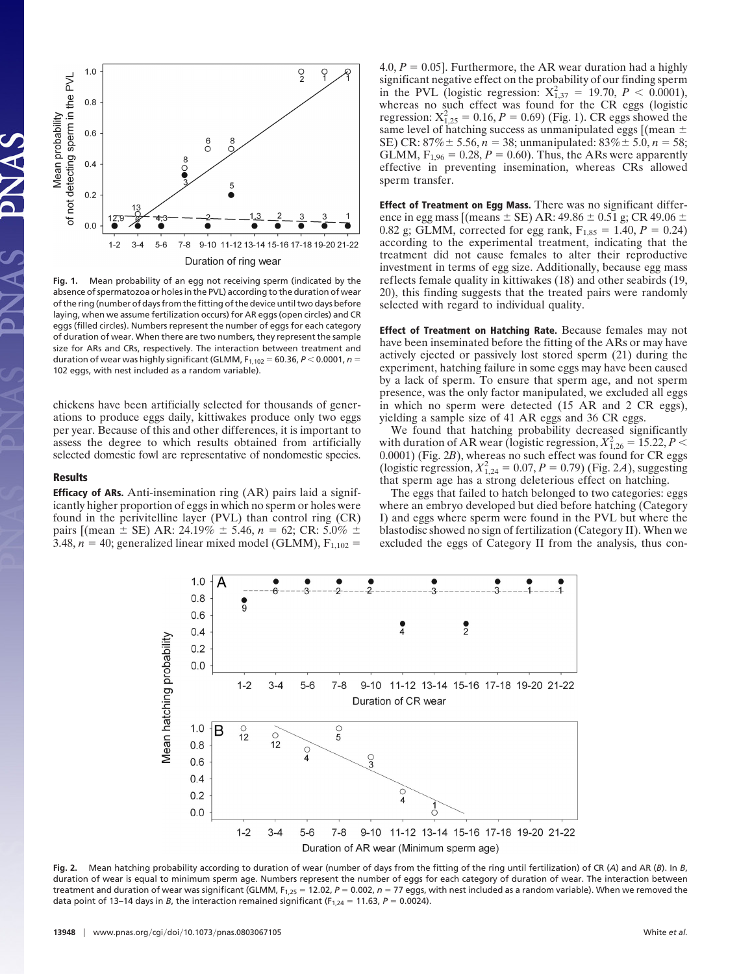

**Fig. 1.** Mean probability of an egg not receiving sperm (indicated by the absence of spermatozoa or holes in the PVL) according to the duration of wear of the ring (number of days from the fitting of the device until two days before laying, when we assume fertilization occurs) for AR eggs (open circles) and CR eggs (filled circles). Numbers represent the number of eggs for each category of duration of wear. When there are two numbers, they represent the sample size for ARs and CRs, respectively. The interaction between treatment and duration of wear was highly significant (GLMM,  $F_{1,102} = 60.36$ ,  $P < 0.0001$ ,  $n =$ 102 eggs, with nest included as a random variable).

chickens have been artificially selected for thousands of generations to produce eggs daily, kittiwakes produce only two eggs per year. Because of this and other differences, it is important to assess the degree to which results obtained from artificially selected domestic fowl are representative of nondomestic species.

### **Results**

**Efficacy of ARs.** Anti-insemination ring (AR) pairs laid a significantly higher proportion of eggs in which no sperm or holes were found in the perivitelline layer (PVL) than control ring (CR) pairs [(mean ± SE) AR: 24.19% ± 5.46, *n* = 62; CR: 5.0% ± 3.48,  $n = 40$ ; generalized linear mixed model (GLMM),  $F_{1,102} =$ 

4.0,  $P = 0.05$ ]. Furthermore, the AR wear duration had a highly significant negative effect on the probability of our finding sperm in the PVL (logistic regression:  $X_{1,37}^2 = 19.70, P < 0.0001$ ), whereas no such effect was found for the CR eggs (logistic regression:  $X_{1,25}^2 = 0.16$ ,  $P = 0.69$ ) (Fig. 1). CR eggs showed the same level of hatching success as unmanipulated eggs [(mean  $\pm$ SE) CR:  $87\% \pm 5.56$ ,  $n = 38$ ; unmanipulated:  $83\% \pm 5.0$ ,  $n = 58$ ; GLMM,  $F_{1,96} = 0.28, P = 0.60$ ). Thus, the ARs were apparently effective in preventing insemination, whereas CRs allowed sperm transfer.

**Effect of Treatment on Egg Mass.** There was no significant difference in egg mass [(means  $\pm$  SE) AR: 49.86  $\pm$  0.51 g; CR 49.06  $\pm$ 0.82 g; GLMM, corrected for egg rank,  $F_{1,85} = 1.40, P = 0.24$ ) according to the experimental treatment, indicating that the treatment did not cause females to alter their reproductive investment in terms of egg size. Additionally, because egg mass reflects female quality in kittiwakes (18) and other seabirds (19, 20), this finding suggests that the treated pairs were randomly selected with regard to individual quality.

**Effect of Treatment on Hatching Rate.** Because females may not have been inseminated before the fitting of the ARs or may have actively ejected or passively lost stored sperm (21) during the experiment, hatching failure in some eggs may have been caused by a lack of sperm. To ensure that sperm age, and not sperm presence, was the only factor manipulated, we excluded all eggs in which no sperm were detected (15 AR and 2 CR eggs), yielding a sample size of 41 AR eggs and 36 CR eggs.

We found that hatching probability decreased significantly with duration of AR wear (logistic regression,  $X_{1,26}^2 = 15.22$ ,  $P \leq$ 0.0001) (Fig. 2*B*), whereas no such effect was found for CR eggs (logistic regression,  $X_{1,24}^2 = 0.07, P = 0.79$ ) (Fig. 2*A*), suggesting that sperm age has a strong deleterious effect on hatching.

The eggs that failed to hatch belonged to two categories: eggs where an embryo developed but died before hatching (Category I) and eggs where sperm were found in the PVL but where the blastodisc showed no sign of fertilization (Category II). When we excluded the eggs of Category II from the analysis, thus con-



**Fig. 2.** Mean hatching probability according to duration of wear (number of days from the fitting of the ring until fertilization) of CR (*A*) and AR (*B*). In *B*, duration of wear is equal to minimum sperm age. Numbers represent the number of eggs for each category of duration of wear. The interaction between treatment and duration of wear was significant (GLMM, F<sub>1,25</sub> = 12.02,  $P = 0.002$ ,  $n = 77$  eggs, with nest included as a random variable). When we removed the data point of 13–14 days in *B*, the interaction remained significant ( $F_{1,24} = 11.63$ ,  $P = 0.0024$ ).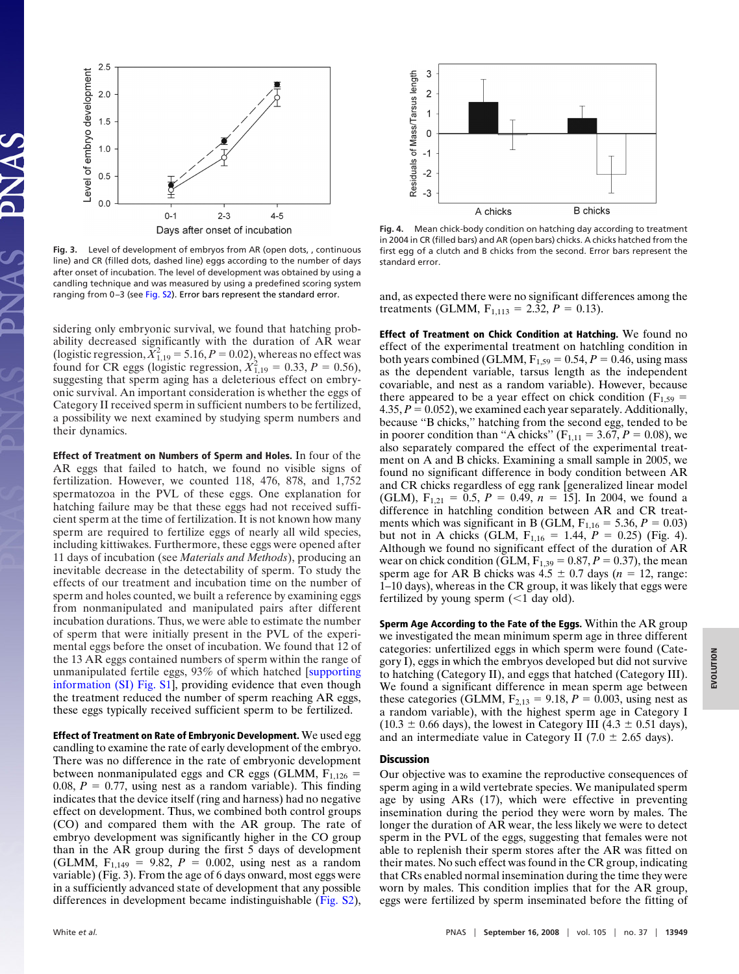

**Fig. 3.** Level of development of embryos from AR (open dots, , continuous line) and CR (filled dots, dashed line) eggs according to the number of days after onset of incubation. The level of development was obtained by using a candling technique and was measured by using a predefined scoring system ranging from 0-3 (see [Fig. S2\)](http://www.pnas.org/cgi/data/0803067105/DCSupplemental/Supplemental_PDF#nameddest=SF2). Error bars represent the standard error.

sidering only embryonic survival, we found that hatching probability decreased significantly with the duration of AR wear (logistic regression,  $\bar{X}_{1,19}^2$  = 5.16, *P* = 0.02), whereas no effect was found for CR eggs (logistic regression,  $\hat{X}_{1,19}^2 = 0.33$ ,  $P = 0.56$ ), suggesting that sperm aging has a deleterious effect on embryonic survival. An important consideration is whether the eggs of Category II received sperm in sufficient numbers to be fertilized, a possibility we next examined by studying sperm numbers and their dynamics.

**Effect of Treatment on Numbers of Sperm and Holes.** In four of the AR eggs that failed to hatch, we found no visible signs of fertilization. However, we counted 118, 476, 878, and 1,752 spermatozoa in the PVL of these eggs. One explanation for hatching failure may be that these eggs had not received sufficient sperm at the time of fertilization. It is not known how many sperm are required to fertilize eggs of nearly all wild species, including kittiwakes. Furthermore, these eggs were opened after 11 days of incubation (see *Materials and Methods*), producing an inevitable decrease in the detectability of sperm. To study the effects of our treatment and incubation time on the number of sperm and holes counted, we built a reference by examining eggs from nonmanipulated and manipulated pairs after different incubation durations. Thus, we were able to estimate the number of sperm that were initially present in the PVL of the experimental eggs before the onset of incubation. We found that 12 of the 13 AR eggs contained numbers of sperm within the range of unmanipulated fertile eggs, 93% of which hatched [\[supporting](http://www.pnas.org/cgi/data/0803067105/DCSupplemental/Supplemental_PDF#nameddest=SF1) [information \(SI\) Fig. S1\]](http://www.pnas.org/cgi/data/0803067105/DCSupplemental/Supplemental_PDF#nameddest=SF1), providing evidence that even though the treatment reduced the number of sperm reaching AR eggs, these eggs typically received sufficient sperm to be fertilized.

**Effect of Treatment on Rate of Embryonic Development.** We used egg candling to examine the rate of early development of the embryo. There was no difference in the rate of embryonic development between nonmanipulated eggs and CR eggs (GLMM,  $F_{1,126}$  = 0.08,  $P = 0.77$ , using nest as a random variable). This finding indicates that the device itself (ring and harness) had no negative effect on development. Thus, we combined both control groups (CO) and compared them with the AR group. The rate of embryo development was significantly higher in the CO group than in the AR group during the first 5 days of development (GLMM,  $F_{1,149} = 9.82$ ,  $P = 0.002$ , using nest as a random variable) (Fig. 3). From the age of 6 days onward, most eggs were in a sufficiently advanced state of development that any possible differences in development became indistinguishable [\(Fig. S2\)](http://www.pnas.org/cgi/data/0803067105/DCSupplemental/Supplemental_PDF#nameddest=SF2),



**Fig. 4.** Mean chick-body condition on hatching day according to treatment in 2004 in CR (filled bars) and AR (open bars) chicks. A chicks hatched from the first egg of a clutch and B chicks from the second. Error bars represent the standard error.

and, as expected there were no significant differences among the treatments (GLMM,  $F_{1,113} = 2.32, P = 0.13$ ).

**Effect of Treatment on Chick Condition at Hatching.** We found no effect of the experimental treatment on hatchling condition in both years combined (GLMM,  $F_{1,59} = 0.54$ ,  $P = 0.46$ , using mass as the dependent variable, tarsus length as the independent covariable, and nest as a random variable). However, because there appeared to be a year effect on chick condition ( $F_{1,59}$  = 4.35,  $P = 0.052$ ), we examined each year separately. Additionally, because ''B chicks,'' hatching from the second egg, tended to be in poorer condition than "A chicks" ( $F_{1,11} = 3.67, P = 0.08$ ), we also separately compared the effect of the experimental treatment on A and B chicks. Examining a small sample in 2005, we found no significant difference in body condition between AR and CR chicks regardless of egg rank [generalized linear model (GLM),  $F_{1,21} = 0.5$ ,  $P = 0.49$ ,  $n = 15$ . In 2004, we found a difference in hatchling condition between AR and CR treatments which was significant in B (GLM,  $F_{1,16} = 5.36, P = 0.03$ ) but not in A chicks (GLM,  $F_{1,16} = 1.44$ ,  $P = 0.25$ ) (Fig. 4). Although we found no significant effect of the duration of AR wear on chick condition (GLM,  $F_{1,39} = 0.87$ ,  $P = 0.37$ ), the mean sperm age for AR B chicks was  $4.5 \pm 0.7$  days ( $n = 12$ , range: 1–10 days), whereas in the CR group, it was likely that eggs were fertilized by young sperm  $(1$  day old).

**Sperm Age According to the Fate of the Eggs.** Within the AR group we investigated the mean minimum sperm age in three different categories: unfertilized eggs in which sperm were found (Category I), eggs in which the embryos developed but did not survive to hatching (Category II), and eggs that hatched (Category III). We found a significant difference in mean sperm age between these categories (GLMM,  $F_{2,13} = 9.18$ ,  $P = 0.003$ , using nest as a random variable), with the highest sperm age in Category I  $(10.3 \pm 0.66 \text{ days})$ , the lowest in Category III  $(4.3 \pm 0.51 \text{ days})$ , and an intermediate value in Category II (7.0  $\pm$  2.65 days).

# **Discussion**

Our objective was to examine the reproductive consequences of sperm aging in a wild vertebrate species. We manipulated sperm age by using ARs (17), which were effective in preventing insemination during the period they were worn by males. The longer the duration of AR wear, the less likely we were to detect sperm in the PVL of the eggs, suggesting that females were not able to replenish their sperm stores after the AR was fitted on their mates. No such effect was found in the CR group, indicating that CRs enabled normal insemination during the time they were worn by males. This condition implies that for the AR group, eggs were fertilized by sperm inseminated before the fitting of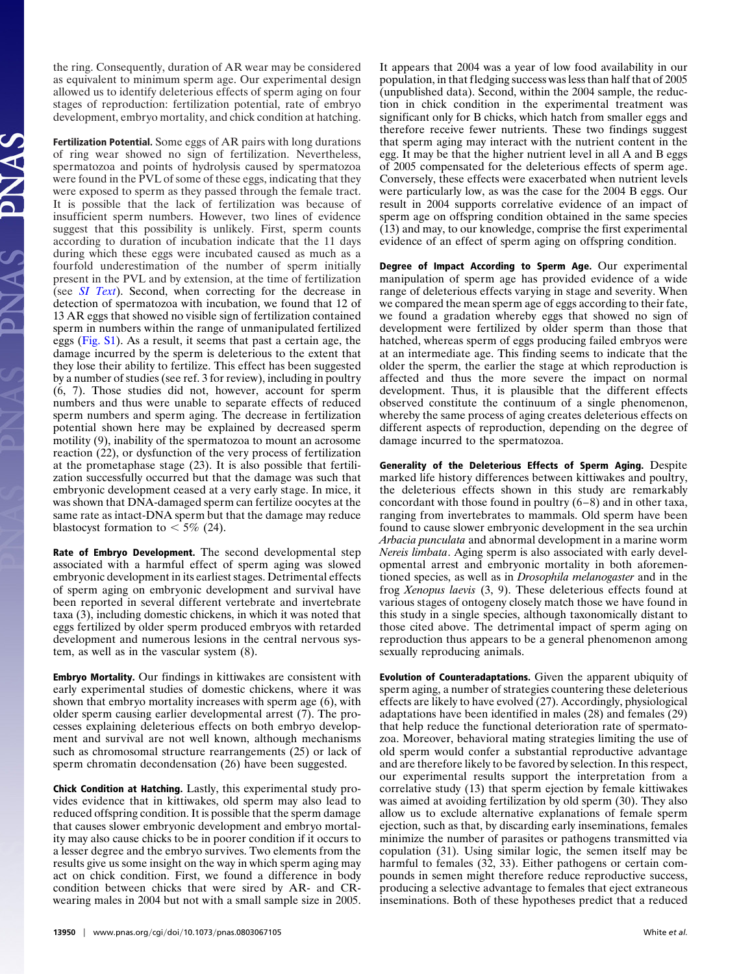the ring. Consequently, duration of AR wear may be considered as equivalent to minimum sperm age. Our experimental design allowed us to identify deleterious effects of sperm aging on four stages of reproduction: fertilization potential, rate of embryo development, embryo mortality, and chick condition at hatching.

**Fertilization Potential.** Some eggs of AR pairs with long durations of ring wear showed no sign of fertilization. Nevertheless, spermatozoa and points of hydrolysis caused by spermatozoa were found in the PVL of some of these eggs, indicating that they were exposed to sperm as they passed through the female tract. It is possible that the lack of fertilization was because of insufficient sperm numbers. However, two lines of evidence suggest that this possibility is unlikely. First, sperm counts according to duration of incubation indicate that the 11 days during which these eggs were incubated caused as much as a fourfold underestimation of the number of sperm initially present in the PVL and by extension, at the time of fertilization (see *[SI Text](http://www.pnas.org/cgi/data/0803067105/DCSupplemental/Supplemental_PDF#nameddest=STXT)*). Second, when correcting for the decrease in detection of spermatozoa with incubation, we found that 12 of 13 AR eggs that showed no visible sign of fertilization contained sperm in numbers within the range of unmanipulated fertilized eggs [\(Fig. S1\)](http://www.pnas.org/cgi/data/0803067105/DCSupplemental/Supplemental_PDF#nameddest=SF1). As a result, it seems that past a certain age, the damage incurred by the sperm is deleterious to the extent that they lose their ability to fertilize. This effect has been suggested by a number of studies (see ref. 3 for review), including in poultry (6, 7). Those studies did not, however, account for sperm numbers and thus were unable to separate effects of reduced sperm numbers and sperm aging. The decrease in fertilization potential shown here may be explained by decreased sperm motility (9), inability of the spermatozoa to mount an acrosome reaction (22), or dysfunction of the very process of fertilization at the prometaphase stage (23). It is also possible that fertilization successfully occurred but that the damage was such that embryonic development ceased at a very early stage. In mice, it was shown that DNA-damaged sperm can fertilize oocytes at the same rate as intact-DNA sperm but that the damage may reduce blastocyst formation to  $<$  5% (24).

**Rate of Embryo Development.** The second developmental step associated with a harmful effect of sperm aging was slowed embryonic development in its earliest stages. Detrimental effects of sperm aging on embryonic development and survival have been reported in several different vertebrate and invertebrate taxa (3), including domestic chickens, in which it was noted that eggs fertilized by older sperm produced embryos with retarded development and numerous lesions in the central nervous system, as well as in the vascular system (8).

**Embryo Mortality.** Our findings in kittiwakes are consistent with early experimental studies of domestic chickens, where it was shown that embryo mortality increases with sperm age (6), with older sperm causing earlier developmental arrest (7). The processes explaining deleterious effects on both embryo development and survival are not well known, although mechanisms such as chromosomal structure rearrangements (25) or lack of sperm chromatin decondensation (26) have been suggested.

**Chick Condition at Hatching.** Lastly, this experimental study provides evidence that in kittiwakes, old sperm may also lead to reduced offspring condition. It is possible that the sperm damage that causes slower embryonic development and embryo mortality may also cause chicks to be in poorer condition if it occurs to a lesser degree and the embryo survives. Two elements from the results give us some insight on the way in which sperm aging may act on chick condition. First, we found a difference in body condition between chicks that were sired by AR- and CRwearing males in 2004 but not with a small sample size in 2005. It appears that 2004 was a year of low food availability in our population, in that fledging success was less than half that of 2005 (unpublished data). Second, within the 2004 sample, the reduction in chick condition in the experimental treatment was significant only for B chicks, which hatch from smaller eggs and therefore receive fewer nutrients. These two findings suggest that sperm aging may interact with the nutrient content in the egg. It may be that the higher nutrient level in all A and B eggs of 2005 compensated for the deleterious effects of sperm age. Conversely, these effects were exacerbated when nutrient levels were particularly low, as was the case for the 2004 B eggs. Our result in 2004 supports correlative evidence of an impact of sperm age on offspring condition obtained in the same species (13) and may, to our knowledge, comprise the first experimental evidence of an effect of sperm aging on offspring condition.

**Degree of Impact According to Sperm Age.** Our experimental manipulation of sperm age has provided evidence of a wide range of deleterious effects varying in stage and severity. When we compared the mean sperm age of eggs according to their fate, we found a gradation whereby eggs that showed no sign of development were fertilized by older sperm than those that hatched, whereas sperm of eggs producing failed embryos were at an intermediate age. This finding seems to indicate that the older the sperm, the earlier the stage at which reproduction is affected and thus the more severe the impact on normal development. Thus, it is plausible that the different effects observed constitute the continuum of a single phenomenon, whereby the same process of aging creates deleterious effects on different aspects of reproduction, depending on the degree of damage incurred to the spermatozoa.

**Generality of the Deleterious Effects of Sperm Aging.** Despite marked life history differences between kittiwakes and poultry, the deleterious effects shown in this study are remarkably concordant with those found in poultry (6–8) and in other taxa, ranging from invertebrates to mammals. Old sperm have been found to cause slower embryonic development in the sea urchin *Arbacia punculata* and abnormal development in a marine worm *Nereis limbata*. Aging sperm is also associated with early developmental arrest and embryonic mortality in both aforementioned species, as well as in *Drosophila melanogaster* and in the frog *Xenopus laevis* (3, 9). These deleterious effects found at various stages of ontogeny closely match those we have found in this study in a single species, although taxonomically distant to those cited above. The detrimental impact of sperm aging on reproduction thus appears to be a general phenomenon among sexually reproducing animals.

**Evolution of Counteradaptations.** Given the apparent ubiquity of sperm aging, a number of strategies countering these deleterious effects are likely to have evolved (27). Accordingly, physiological adaptations have been identified in males (28) and females (29) that help reduce the functional deterioration rate of spermatozoa. Moreover, behavioral mating strategies limiting the use of old sperm would confer a substantial reproductive advantage and are therefore likely to be favored by selection. In this respect, our experimental results support the interpretation from a correlative study (13) that sperm ejection by female kittiwakes was aimed at avoiding fertilization by old sperm (30). They also allow us to exclude alternative explanations of female sperm ejection, such as that, by discarding early inseminations, females minimize the number of parasites or pathogens transmitted via copulation (31). Using similar logic, the semen itself may be harmful to females (32, 33). Either pathogens or certain compounds in semen might therefore reduce reproductive success, producing a selective advantage to females that eject extraneous inseminations. Both of these hypotheses predict that a reduced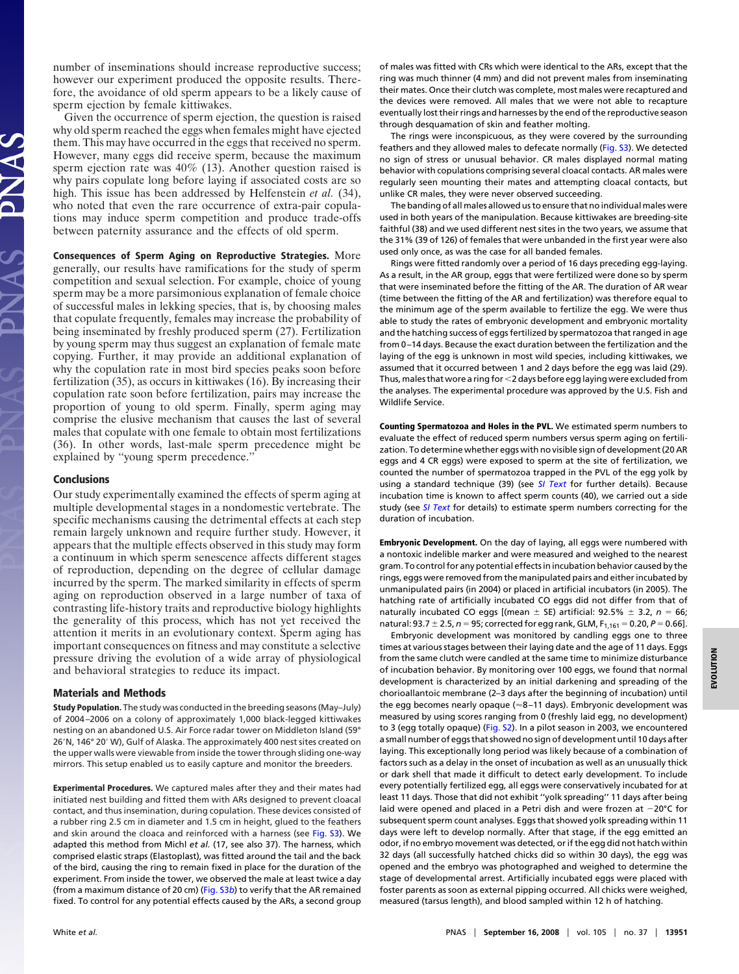number of inseminations should increase reproductive success; however our experiment produced the opposite results. Therefore, the avoidance of old sperm appears to be a likely cause of sperm ejection by female kittiwakes.

Given the occurrence of sperm ejection, the question is raised why old sperm reached the eggs when females might have ejected them. This may have occurred in the eggs that received no sperm. However, many eggs did receive sperm, because the maximum sperm ejection rate was 40% (13). Another question raised is why pairs copulate long before laying if associated costs are so high. This issue has been addressed by Helfenstein *et al.* (34), who noted that even the rare occurrence of extra-pair copulations may induce sperm competition and produce trade-offs between paternity assurance and the effects of old sperm.

**Consequences of Sperm Aging on Reproductive Strategies.** More generally, our results have ramifications for the study of sperm competition and sexual selection. For example, choice of young sperm may be a more parsimonious explanation of female choice of successful males in lekking species, that is, by choosing males that copulate frequently, females may increase the probability of being inseminated by freshly produced sperm (27). Fertilization by young sperm may thus suggest an explanation of female mate copying. Further, it may provide an additional explanation of why the copulation rate in most bird species peaks soon before fertilization (35), as occurs in kittiwakes (16). By increasing their copulation rate soon before fertilization, pairs may increase the proportion of young to old sperm. Finally, sperm aging may comprise the elusive mechanism that causes the last of several males that copulate with one female to obtain most fertilizations (36). In other words, last-male sperm precedence might be explained by ''young sperm precedence.''

## **Conclusions**

Our study experimentally examined the effects of sperm aging at multiple developmental stages in a nondomestic vertebrate. The specific mechanisms causing the detrimental effects at each step remain largely unknown and require further study. However, it appears that the multiple effects observed in this study may form a continuum in which sperm senescence affects different stages of reproduction, depending on the degree of cellular damage incurred by the sperm. The marked similarity in effects of sperm aging on reproduction observed in a large number of taxa of contrasting life-history traits and reproductive biology highlights the generality of this process, which has not yet received the attention it merits in an evolutionary context. Sperm aging has important consequences on fitness and may constitute a selective pressure driving the evolution of a wide array of physiological and behavioral strategies to reduce its impact.

#### **Materials and Methods**

**Study Population.** The study was conducted in the breeding seasons (May–July) of 2004–2006 on a colony of approximately 1,000 black-legged kittiwakes nesting on an abandoned U.S. Air Force radar tower on Middleton Island (59° 26'N, 146° 20' W), Gulf of Alaska. The approximately 400 nest sites created on the upper walls were viewable from inside the tower through sliding one-way mirrors. This setup enabled us to easily capture and monitor the breeders.

**Experimental Procedures.** We captured males after they and their mates had initiated nest building and fitted them with ARs designed to prevent cloacal contact, and thus insemination, during copulation. These devices consisted of a rubber ring 2.5 cm in diameter and 1.5 cm in height, glued to the feathers and skin around the cloaca and reinforced with a harness (see [Fig. S3\)](http://www.pnas.org/cgi/data/0803067105/DCSupplemental/Supplemental_PDF#nameddest=SF3). We adapted this method from Michl *et al.* (17, see also 37). The harness, which comprised elastic straps (Elastoplast), was fitted around the tail and the back of the bird, causing the ring to remain fixed in place for the duration of the experiment. From inside the tower, we observed the male at least twice a day (from a maximum distance of 20 cm) [\(Fig. S3](http://www.pnas.org/cgi/data/0803067105/DCSupplemental/Supplemental_PDF#nameddest=SF3)*b*) to verify that the AR remained fixed. To control for any potential effects caused by the ARs, a second group

of males was fitted with CRs which were identical to the ARs, except that the ring was much thinner (4 mm) and did not prevent males from inseminating their mates. Once their clutch was complete, most males were recaptured and the devices were removed. All males that we were not able to recapture eventually lost their rings and harnesses by the end of the reproductive season through desquamation of skin and feather molting.

The rings were inconspicuous, as they were covered by the surrounding feathers and they allowed males to defecate normally [\(Fig. S3\)](http://www.pnas.org/cgi/data/0803067105/DCSupplemental/Supplemental_PDF#nameddest=SF3). We detected no sign of stress or unusual behavior. CR males displayed normal mating behavior with copulations comprising several cloacal contacts. AR males were regularly seen mounting their mates and attempting cloacal contacts, but unlike CR males, they were never observed succeeding.

The banding of all males allowed us to ensure that no individual males were used in both years of the manipulation. Because kittiwakes are breeding-site faithful (38) and we used different nest sites in the two years, we assume that the 31% (39 of 126) of females that were unbanded in the first year were also used only once, as was the case for all banded females.

Rings were fitted randomly over a period of 16 days preceding egg-laying. As a result, in the AR group, eggs that were fertilized were done so by sperm that were inseminated before the fitting of the AR. The duration of AR wear (time between the fitting of the AR and fertilization) was therefore equal to the minimum age of the sperm available to fertilize the egg. We were thus able to study the rates of embryonic development and embryonic mortality and the hatching success of eggs fertilized by spermatozoa that ranged in age from 0–14 days. Because the exact duration between the fertilization and the laying of the egg is unknown in most wild species, including kittiwakes, we assumed that it occurred between 1 and 2 days before the egg was laid (29). Thus, males that wore a ring for 2 days before egg laying were excluded from the analyses. The experimental procedure was approved by the U.S. Fish and Wildlife Service.

**Counting Spermatozoa and Holes in the PVL.** We estimated sperm numbers to evaluate the effect of reduced sperm numbers versus sperm aging on fertilization. To determine whether eggs with no visible sign of development (20 AR eggs and 4 CR eggs) were exposed to sperm at the site of fertilization, we counted the number of spermatozoa trapped in the PVL of the egg yolk by using a standard technique (39) (see *[SI Text](http://www.pnas.org/cgi/data/0803067105/DCSupplemental/Supplemental_PDF#nameddest=STXT)* for further details). Because incubation time is known to affect sperm counts (40), we carried out a side study (see *[SI Text](http://www.pnas.org/cgi/data/0803067105/DCSupplemental/Supplemental_PDF#nameddest=STXT)* for details) to estimate sperm numbers correcting for the duration of incubation.

**Embryonic Development.** On the day of laying, all eggs were numbered with a nontoxic indelible marker and were measured and weighed to the nearest gram. To control for any potential effects in incubation behavior caused by the rings, eggs were removed from the manipulated pairs and either incubated by unmanipulated pairs (in 2004) or placed in artificial incubators (in 2005). The hatching rate of artificially incubated CO eggs did not differ from that of naturally incubated CO eggs [(mean  $\pm$  SE) artificial: 92.5%  $\pm$  3.2,  $n=$  66; natural: 93.7 ± 2.5, *n* = 95; corrected for egg rank, GLM, F<sub>1,161</sub> = 0.20, *P* = 0.66].

Embryonic development was monitored by candling eggs one to three times at various stages between their laying date and the age of 11 days. Eggs from the same clutch were candled at the same time to minimize disturbance of incubation behavior. By monitoring over 100 eggs, we found that normal development is characterized by an initial darkening and spreading of the chorioallantoic membrane (2–3 days after the beginning of incubation) until the egg becomes nearly opaque ( $\approx$ 8–11 days). Embryonic development was measured by using scores ranging from 0 (freshly laid egg, no development) to 3 (egg totally opaque) [\(Fig. S2\)](http://www.pnas.org/cgi/data/0803067105/DCSupplemental/Supplemental_PDF#nameddest=SF2). In a pilot season in 2003, we encountered a small number of eggs that showed no sign of development until 10 days after laying. This exceptionally long period was likely because of a combination of factors such as a delay in the onset of incubation as well as an unusually thick or dark shell that made it difficult to detect early development. To include every potentially fertilized egg, all eggs were conservatively incubated for at least 11 days. Those that did not exhibit ''yolk spreading'' 11 days after being laid were opened and placed in a Petri dish and were frozen at  $-20^{\circ}$ C for subsequent sperm count analyses. Eggs that showed yolk spreading within 11 days were left to develop normally. After that stage, if the egg emitted an odor, if no embryo movement was detected, or if the egg did not hatch within 32 days (all successfully hatched chicks did so within 30 days), the egg was opened and the embryo was photographed and weighed to determine the stage of developmental arrest. Artificially incubated eggs were placed with foster parents as soon as external pipping occurred. All chicks were weighed, measured (tarsus length), and blood sampled within 12 h of hatching.